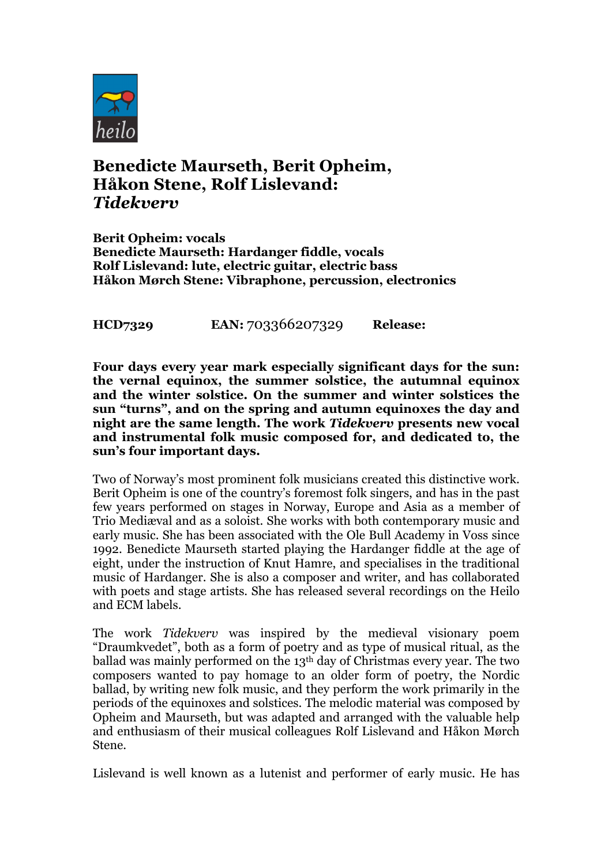

## **Benedicte Maurseth, Berit Opheim, Håkon Stene, Rolf Lislevand:** *Tidekverv*

**Berit Opheim: vocals Benedicte Maurseth: Hardanger fiddle, vocals Rolf Lislevand: lute, electric guitar, electric bass Håkon Mørch Stene: Vibraphone, percussion, electronics**

**HCD7329 EAN:** 703366207329 **Release:** 

**Four days every year mark especially significant days for the sun: the vernal equinox, the summer solstice, the autumnal equinox and the winter solstice. On the summer and winter solstices the sun "turns", and on the spring and autumn equinoxes the day and night are the same length. The work** *Tidekverv* **presents new vocal and instrumental folk music composed for, and dedicated to, the sun's four important days.**

Two of Norway's most prominent folk musicians created this distinctive work. Berit Opheim is one of the country's foremost folk singers, and has in the past few years performed on stages in Norway, Europe and Asia as a member of Trio Mediæval and as a soloist. She works with both contemporary music and early music. She has been associated with the Ole Bull Academy in Voss since 1992. Benedicte Maurseth started playing the Hardanger fiddle at the age of eight, under the instruction of Knut Hamre, and specialises in the traditional music of Hardanger. She is also a composer and writer, and has collaborated with poets and stage artists. She has released several recordings on the Heilo and ECM labels.

The work *Tidekverv* was inspired by the medieval visionary poem "Draumkvedet", both as a form of poetry and as type of musical ritual, as the ballad was mainly performed on the 13th day of Christmas every year. The two composers wanted to pay homage to an older form of poetry, the Nordic ballad, by writing new folk music, and they perform the work primarily in the periods of the equinoxes and solstices. The melodic material was composed by Opheim and Maurseth, but was adapted and arranged with the valuable help and enthusiasm of their musical colleagues Rolf Lislevand and Håkon Mørch Stene.

Lislevand is well known as a lutenist and performer of early music. He has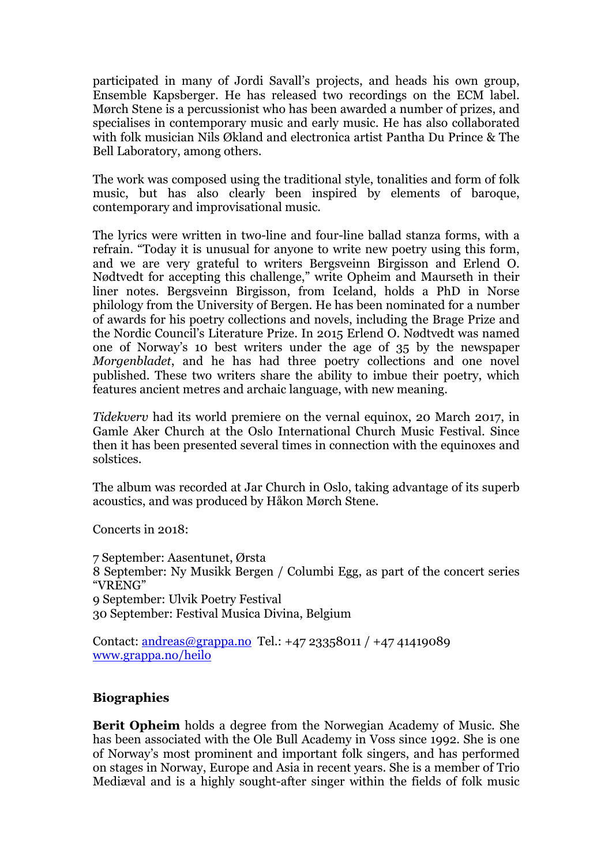participated in many of Jordi Savall's projects, and heads his own group, Ensemble Kapsberger. He has released two recordings on the ECM label. Mørch Stene is a percussionist who has been awarded a number of prizes, and specialises in contemporary music and early music. He has also collaborated with folk musician Nils Økland and electronica artist Pantha Du Prince & The Bell Laboratory, among others.

The work was composed using the traditional style, tonalities and form of folk music, but has also clearly been inspired by elements of baroque, contemporary and improvisational music.

The lyrics were written in two-line and four-line ballad stanza forms, with a refrain. "Today it is unusual for anyone to write new poetry using this form, and we are very grateful to writers Bergsveinn Birgisson and Erlend O. Nødtvedt for accepting this challenge," write Opheim and Maurseth in their liner notes. Bergsveinn Birgisson, from Iceland, holds a PhD in Norse philology from the University of Bergen. He has been nominated for a number of awards for his poetry collections and novels, including the Brage Prize and the Nordic Council's Literature Prize. In 2015 Erlend O. Nødtvedt was named one of Norway's 10 best writers under the age of 35 by the newspaper *Morgenbladet*, and he has had three poetry collections and one novel published. These two writers share the ability to imbue their poetry, which features ancient metres and archaic language, with new meaning.

*Tidekverv* had its world premiere on the vernal equinox, 20 March 2017, in Gamle Aker Church at the Oslo International Church Music Festival. Since then it has been presented several times in connection with the equinoxes and solstices.

The album was recorded at Jar Church in Oslo, taking advantage of its superb acoustics, and was produced by Håkon Mørch Stene.

Concerts in 2018:

7 September: Aasentunet, Ørsta 8 September: Ny Musikk Bergen / Columbi Egg, as part of the concert series "VRENG" 9 September: Ulvik Poetry Festival 30 September: Festival Musica Divina, Belgium

Contact: andreas@grappa.no Tel.: +47 23358011 / +47 41419089 www.grappa.no/heilo

## **Biographies**

**Berit Opheim** holds a degree from the Norwegian Academy of Music. She has been associated with the Ole Bull Academy in Voss since 1992. She is one of Norway's most prominent and important folk singers, and has performed on stages in Norway, Europe and Asia in recent years. She is a member of Trio Mediæval and is a highly sought-after singer within the fields of folk music